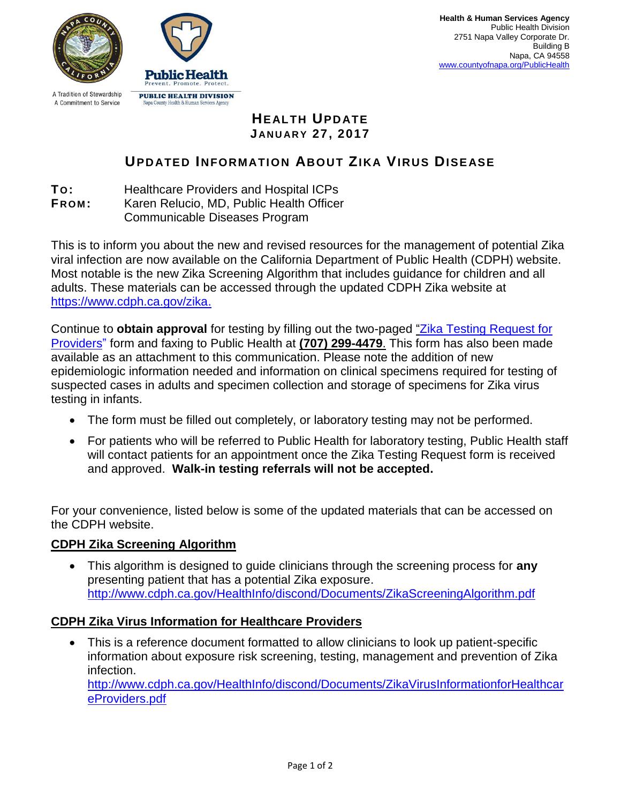

A Tradition of Stewardship A Commitment to Service



## **HEALTH UPDATE J AN U AR Y 27, 2017**

## **UPDATED INFORMATION ABOUT ZIKA VIRUS DISEASE**

**TO:** Healthcare Providers and Hospital ICPs

**F R OM :** Karen Relucio, MD, Public Health Officer

Communicable Diseases Program

This is to inform you about the new and revised resources for the management of potential Zika viral infection are now available on the California Department of Public Health (CDPH) website. Most notable is the new Zika Screening Algorithm that includes guidance for children and all adults. These materials can be accessed through the updated CDPH Zika website at [https://www.cdph.ca.gov/zika.](https://www.cdph.ca.gov/zika)

Continue to **obtain approval** for testing by filling out the two-paged "Zika Testing Request for [Providers"](http://www.countyofnapa.org/zikalabform) form and faxing to Public Health at **(707) 299-4479**. This form has also been made available as an attachment to this communication. Please note the addition of new epidemiologic information needed and information on clinical specimens required for testing of suspected cases in adults and specimen collection and storage of specimens for Zika virus testing in infants.

- The form must be filled out completely, or laboratory testing may not be performed.
- For patients who will be referred to Public Health for laboratory testing, Public Health staff will contact patients for an appointment once the Zika Testing Request form is received and approved. **Walk-in testing referrals will not be accepted.**

For your convenience, listed below is some of the updated materials that can be accessed on the CDPH website.

## **CDPH Zika Screening Algorithm**

 This algorithm is designed to guide clinicians through the screening process for **any** presenting patient that has a potential Zika exposure. <http://www.cdph.ca.gov/HealthInfo/discond/Documents/ZikaScreeningAlgorithm.pdf>

## **CDPH Zika Virus Information for Healthcare Providers**

• This is a reference document formatted to allow clinicians to look up patient-specific information about exposure risk screening, testing, management and prevention of Zika infection.

[http://www.cdph.ca.gov/HealthInfo/discond/Documents/ZikaVirusInformationforHealthcar](http://www.cdph.ca.gov/HealthInfo/discond/Documents/ZikaVirusInformationforHealthcareProviders.pdf) [eProviders.pdf](http://www.cdph.ca.gov/HealthInfo/discond/Documents/ZikaVirusInformationforHealthcareProviders.pdf)